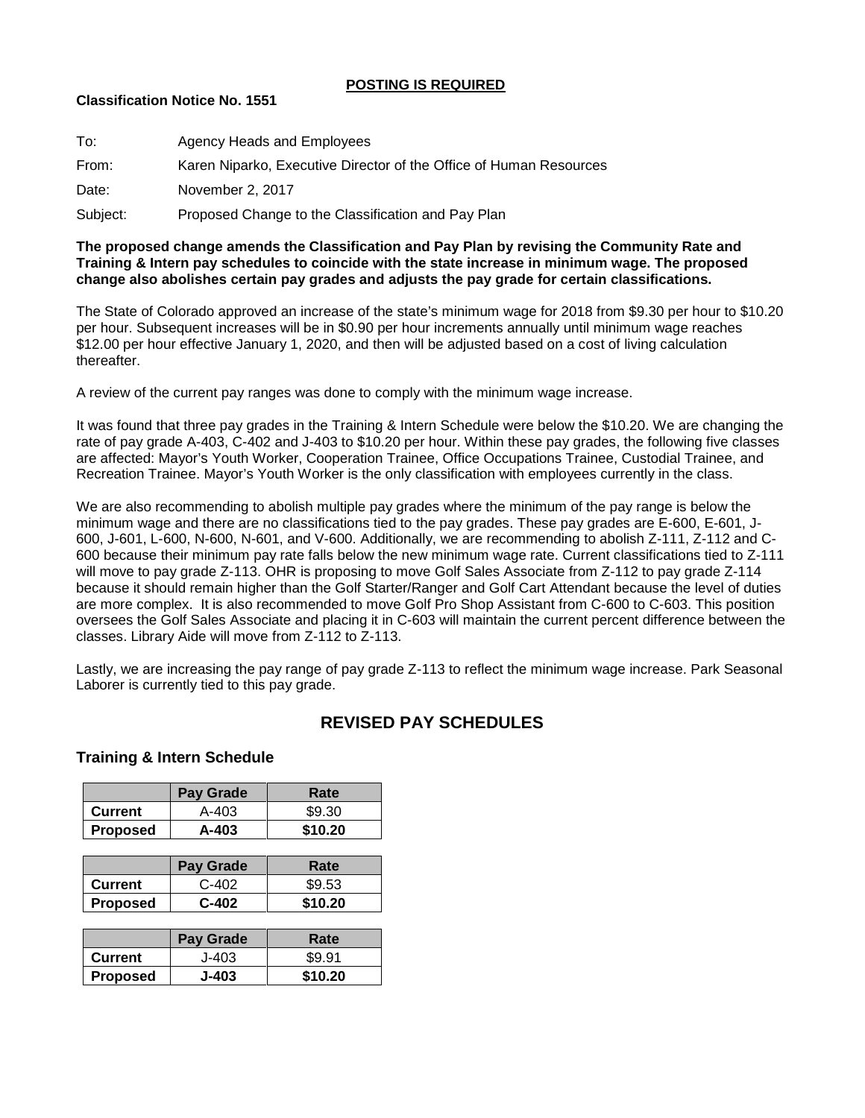### **POSTING IS REQUIRED**

### **Classification Notice No. 1551**

| To:      | Agency Heads and Employees                                         |
|----------|--------------------------------------------------------------------|
| From:    | Karen Niparko, Executive Director of the Office of Human Resources |
| Date:    | November 2, 2017                                                   |
| Subject: | Proposed Change to the Classification and Pay Plan                 |

#### **The proposed change amends the Classification and Pay Plan by revising the Community Rate and Training & Intern pay schedules to coincide with the state increase in minimum wage. The proposed change also abolishes certain pay grades and adjusts the pay grade for certain classifications.**

The State of Colorado approved an increase of the state's minimum wage for 2018 from \$9.30 per hour to \$10.20 per hour. Subsequent increases will be in \$0.90 per hour increments annually until minimum wage reaches \$12.00 per hour effective January 1, 2020, and then will be adjusted based on a cost of living calculation thereafter.

A review of the current pay ranges was done to comply with the minimum wage increase.

It was found that three pay grades in the Training & Intern Schedule were below the \$10.20. We are changing the rate of pay grade A-403, C-402 and J-403 to \$10.20 per hour. Within these pay grades, the following five classes are affected: Mayor's Youth Worker, Cooperation Trainee, Office Occupations Trainee, Custodial Trainee, and Recreation Trainee. Mayor's Youth Worker is the only classification with employees currently in the class.

We are also recommending to abolish multiple pay grades where the minimum of the pay range is below the minimum wage and there are no classifications tied to the pay grades. These pay grades are E-600, E-601, J-600, J-601, L-600, N-600, N-601, and V-600. Additionally, we are recommending to abolish Z-111, Z-112 and C-600 because their minimum pay rate falls below the new minimum wage rate. Current classifications tied to Z-111 will move to pay grade Z-113. OHR is proposing to move Golf Sales Associate from Z-112 to pay grade Z-114 because it should remain higher than the Golf Starter/Ranger and Golf Cart Attendant because the level of duties are more complex. It is also recommended to move Golf Pro Shop Assistant from C-600 to C-603. This position oversees the Golf Sales Associate and placing it in C-603 will maintain the current percent difference between the classes. Library Aide will move from Z-112 to Z-113.

Lastly, we are increasing the pay range of pay grade Z-113 to reflect the minimum wage increase. Park Seasonal Laborer is currently tied to this pay grade.

# **REVISED PAY SCHEDULES**

## **Training & Intern Schedule**

|                 | <b>Pay Grade</b> | Rate    |
|-----------------|------------------|---------|
| Current         | A-403            | \$9.30  |
| <b>Proposed</b> | A-403            | \$10.20 |

|                 | <b>Pay Grade</b> | Rate    |
|-----------------|------------------|---------|
| <b>Current</b>  | $C-402$          | \$9.53  |
| <b>Proposed</b> | $C-402$          | \$10.20 |

|                 | <b>Pay Grade</b> | Rate    |
|-----------------|------------------|---------|
| Current         | J-403            | \$9.91  |
| <b>Proposed</b> | J-403            | \$10.20 |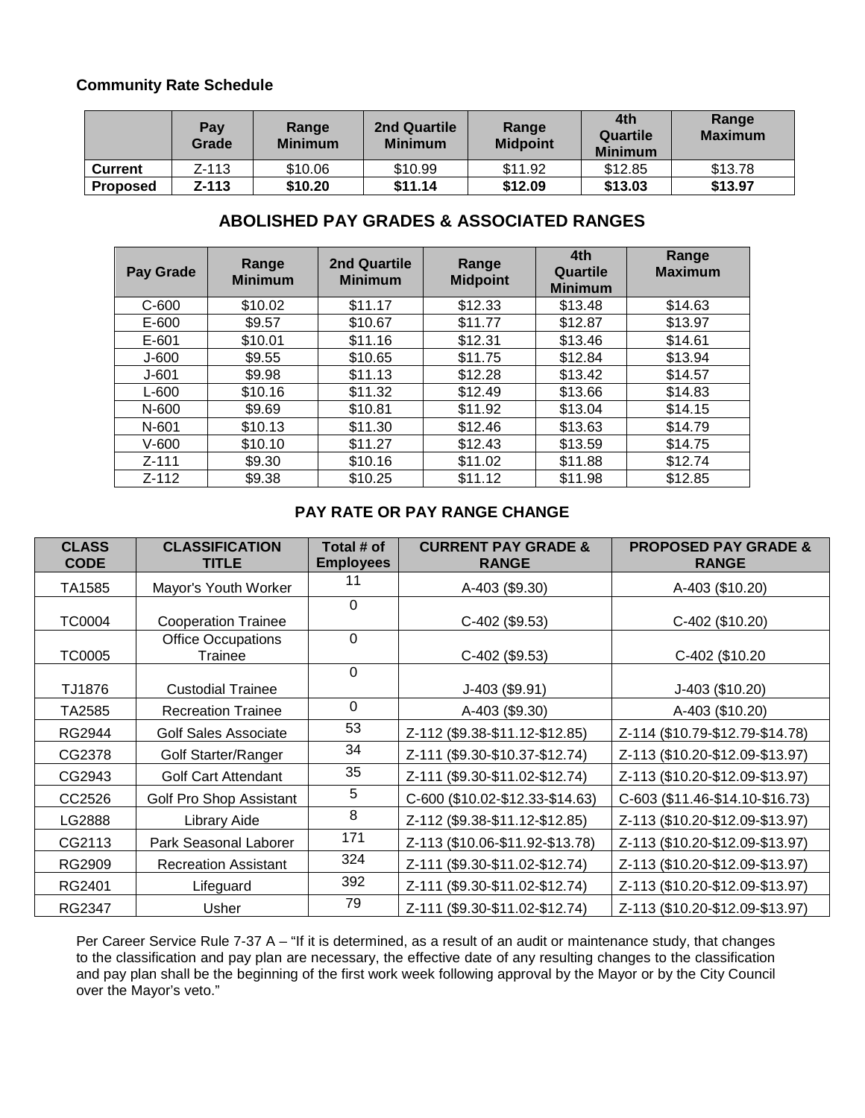# **Community Rate Schedule**

|                 | Pay<br>Grade | Range<br><b>Minimum</b> | <b>2nd Quartile</b><br><b>Minimum</b> | Range<br><b>Midpoint</b> | 4th<br>Quartile<br><b>Minimum</b> | Range<br><b>Maximum</b> |
|-----------------|--------------|-------------------------|---------------------------------------|--------------------------|-----------------------------------|-------------------------|
| <b>Current</b>  | Z-113        | \$10.06                 | \$10.99                               | \$11.92                  | \$12.85                           | \$13.78                 |
| <b>Proposed</b> | Z-113        | \$10.20                 | \$11.14                               | \$12.09                  | \$13.03                           | \$13.97                 |

# **ABOLISHED PAY GRADES & ASSOCIATED RANGES**

| Pay Grade | Range<br><b>Minimum</b> | 2nd Quartile<br><b>Minimum</b> | Range<br><b>Midpoint</b> | 4th<br>Quartile<br><b>Minimum</b> | Range<br><b>Maximum</b> |
|-----------|-------------------------|--------------------------------|--------------------------|-----------------------------------|-------------------------|
| $C-600$   | \$10.02                 | \$11.17                        | \$12.33                  | \$13.48                           | \$14.63                 |
| E-600     | \$9.57                  | \$10.67                        | \$11.77                  | \$12.87                           | \$13.97                 |
| $E - 601$ | \$10.01                 | \$11.16                        | \$12.31                  | \$13.46                           | \$14.61                 |
| $J-600$   | \$9.55                  | \$10.65                        | \$11.75                  | \$12.84                           | \$13.94                 |
| $J - 601$ | \$9.98                  | \$11.13                        | \$12.28                  | \$13.42                           | \$14.57                 |
| $L-600$   | \$10.16                 | \$11.32                        | \$12.49                  | \$13.66                           | \$14.83                 |
| N-600     | \$9.69                  | \$10.81                        | \$11.92                  | \$13.04                           | \$14.15                 |
| N-601     | \$10.13                 | \$11.30                        | \$12.46                  | \$13.63                           | \$14.79                 |
| $V-600$   | \$10.10                 | \$11.27                        | \$12.43                  | \$13.59                           | \$14.75                 |
| $Z - 111$ | \$9.30                  | \$10.16                        | \$11.02                  | \$11.88                           | \$12.74                 |
| $Z - 112$ | \$9.38                  | \$10.25                        | \$11.12                  | \$11.98                           | \$12.85                 |

# **PAY RATE OR PAY RANGE CHANGE**

| <b>CLASS</b><br><b>CODE</b> | <b>CLASSIFICATION</b><br><b>TITLE</b> | Total # of<br><b>Employees</b> | <b>CURRENT PAY GRADE &amp;</b><br><b>RANGE</b> | <b>PROPOSED PAY GRADE &amp;</b><br><b>RANGE</b> |
|-----------------------------|---------------------------------------|--------------------------------|------------------------------------------------|-------------------------------------------------|
| TA1585                      | Mayor's Youth Worker                  | 11                             | A-403 (\$9.30)                                 | A-403 (\$10.20)                                 |
|                             |                                       | $\Omega$                       |                                                |                                                 |
| <b>TC0004</b>               | <b>Cooperation Trainee</b>            |                                | C-402 (\$9.53)                                 | C-402 (\$10.20)                                 |
|                             | <b>Office Occupations</b>             | $\Omega$                       |                                                |                                                 |
| <b>TC0005</b>               | Trainee                               |                                | C-402 (\$9.53)                                 | C-402 (\$10.20                                  |
|                             |                                       | $\Omega$                       |                                                |                                                 |
| TJ1876                      | <b>Custodial Trainee</b>              |                                | J-403 (\$9.91)                                 | J-403 (\$10.20)                                 |
| TA2585                      | <b>Recreation Trainee</b>             | 0                              | A-403 (\$9.30)                                 | A-403 (\$10.20)                                 |
| RG2944                      | <b>Golf Sales Associate</b>           | 53                             | Z-112 (\$9.38-\$11.12-\$12.85)                 | Z-114 (\$10.79-\$12.79-\$14.78)                 |
| CG2378                      | Golf Starter/Ranger                   | 34                             | Z-111 (\$9.30-\$10.37-\$12.74)                 | Z-113 (\$10.20-\$12.09-\$13.97)                 |
| CG2943                      | <b>Golf Cart Attendant</b>            | 35                             | Z-111 (\$9.30-\$11.02-\$12.74)                 | Z-113 (\$10.20-\$12.09-\$13.97)                 |
| CC2526                      | Golf Pro Shop Assistant               | 5                              | C-600 (\$10.02-\$12.33-\$14.63)                | C-603 (\$11.46-\$14.10-\$16.73)                 |
| LG2888                      | Library Aide                          | 8                              | Z-112 (\$9.38-\$11.12-\$12.85)                 | Z-113 (\$10.20-\$12.09-\$13.97)                 |
| CG2113                      | Park Seasonal Laborer                 | 171                            | Z-113 (\$10.06-\$11.92-\$13.78)                | Z-113 (\$10.20-\$12.09-\$13.97)                 |
| RG2909                      | <b>Recreation Assistant</b>           | 324                            | $($9.30 - $11.02 - $12.74)$<br>$Z - 111$       | Z-113 (\$10.20-\$12.09-\$13.97)                 |
| RG2401                      | Lifeguard                             | 392                            | $($9.30 - $11.02 - $12.74)$<br>$Z - 111$       | Z-113 (\$10.20-\$12.09-\$13.97)                 |
| RG2347                      | Usher                                 | 79                             | Z-111 (\$9.30-\$11.02-\$12.74)                 | Z-113 (\$10.20-\$12.09-\$13.97)                 |

Per Career Service Rule 7-37 A – "If it is determined, as a result of an audit or maintenance study, that changes to the classification and pay plan are necessary, the effective date of any resulting changes to the classification and pay plan shall be the beginning of the first work week following approval by the Mayor or by the City Council over the Mayor's veto."